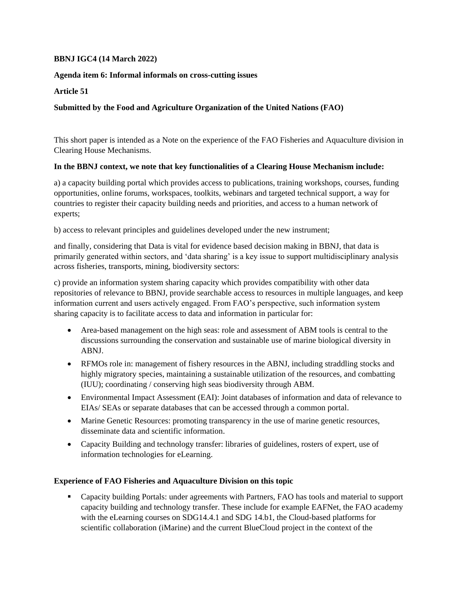### **BBNJ IGC4 (14 March 2022)**

### **Agenda item 6: Informal informals on cross-cutting issues**

**Article 51**

# **Submitted by the Food and Agriculture Organization of the United Nations (FAO)**

This short paper is intended as a Note on the experience of the FAO Fisheries and Aquaculture division in Clearing House Mechanisms.

### **In the BBNJ context, we note that key functionalities of a Clearing House Mechanism include:**

a) a capacity building portal which provides access to publications, training workshops, courses, funding opportunities, online forums, workspaces, toolkits, webinars and targeted technical support, a way for countries to register their capacity building needs and priorities, and access to a human network of experts;

b) access to relevant principles and guidelines developed under the new instrument;

and finally, considering that Data is vital for evidence based decision making in BBNJ, that data is primarily generated within sectors, and 'data sharing' is a key issue to support multidisciplinary analysis across fisheries, transports, mining, biodiversity sectors:

c) provide an information system sharing capacity which provides compatibility with other data repositories of relevance to BBNJ, provide searchable access to resources in multiple languages, and keep information current and users actively engaged. From FAO's perspective, such information system sharing capacity is to facilitate access to data and information in particular for:

- Area-based management on the high seas: role and assessment of ABM tools is central to the discussions surrounding the conservation and sustainable use of marine biological diversity in ABNJ.
- RFMOs role in: management of fishery resources in the ABNJ, including straddling stocks and highly migratory species, maintaining a sustainable utilization of the resources, and combatting (IUU); coordinating / conserving high seas biodiversity through ABM.
- Environmental Impact Assessment (EAI): Joint databases of information and data of relevance to EIAs/ SEAs or separate databases that can be accessed through a common portal.
- Marine Genetic Resources: promoting transparency in the use of marine genetic resources, disseminate data and scientific information.
- Capacity Building and technology transfer: libraries of guidelines, rosters of expert, use of information technologies for eLearning.

#### **Experience of FAO Fisheries and Aquaculture Division on this topic**

 Capacity building Portals: under agreements with Partners, FAO has tools and material to support capacity building and technology transfer. These include for example EAFNet, the FAO academy with the eLearning courses on SDG14.4.1 and SDG 14.b1, the Cloud-based platforms for scientific collaboration (iMarine) and the current BlueCloud project in the context of the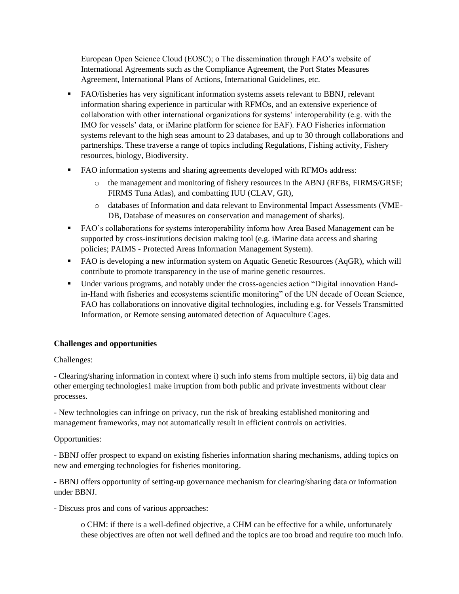European Open Science Cloud (EOSC); o The dissemination through FAO's website of International Agreements such as the Compliance Agreement, the Port States Measures Agreement, International Plans of Actions, International Guidelines, etc.

- FAO/fisheries has very significant information systems assets relevant to BBNJ, relevant information sharing experience in particular with RFMOs, and an extensive experience of collaboration with other international organizations for systems' interoperability (e.g. with the IMO for vessels' data, or iMarine platform for science for EAF). FAO Fisheries information systems relevant to the high seas amount to 23 databases, and up to 30 through collaborations and partnerships. These traverse a range of topics including Regulations, Fishing activity, Fishery resources, biology, Biodiversity.
- FAO information systems and sharing agreements developed with RFMOs address:
	- o the management and monitoring of fishery resources in the ABNJ (RFBs, FIRMS/GRSF; FIRMS Tuna Atlas), and combatting IUU (CLAV, GR),
	- o databases of Information and data relevant to Environmental Impact Assessments (VME-DB, Database of measures on conservation and management of sharks).
- FAO's collaborations for systems interoperability inform how Area Based Management can be supported by cross-institutions decision making tool (e.g. iMarine data access and sharing policies; PAIMS - Protected Areas Information Management System).
- FAO is developing a new information system on Aquatic Genetic Resources (AqGR), which will contribute to promote transparency in the use of marine genetic resources.
- Under various programs, and notably under the cross-agencies action "Digital innovation Handin-Hand with fisheries and ecosystems scientific monitoring" of the UN decade of Ocean Science, FAO has collaborations on innovative digital technologies, including e.g. for Vessels Transmitted Information, or Remote sensing automated detection of Aquaculture Cages.

# **Challenges and opportunities**

#### Challenges:

- Clearing/sharing information in context where i) such info stems from multiple sectors, ii) big data and other emerging technologies1 make irruption from both public and private investments without clear processes.

- New technologies can infringe on privacy, run the risk of breaking established monitoring and management frameworks, may not automatically result in efficient controls on activities.

# Opportunities:

- BBNJ offer prospect to expand on existing fisheries information sharing mechanisms, adding topics on new and emerging technologies for fisheries monitoring.

- BBNJ offers opportunity of setting-up governance mechanism for clearing/sharing data or information under BBNJ.

- Discuss pros and cons of various approaches:

o CHM: if there is a well-defined objective, a CHM can be effective for a while, unfortunately these objectives are often not well defined and the topics are too broad and require too much info.